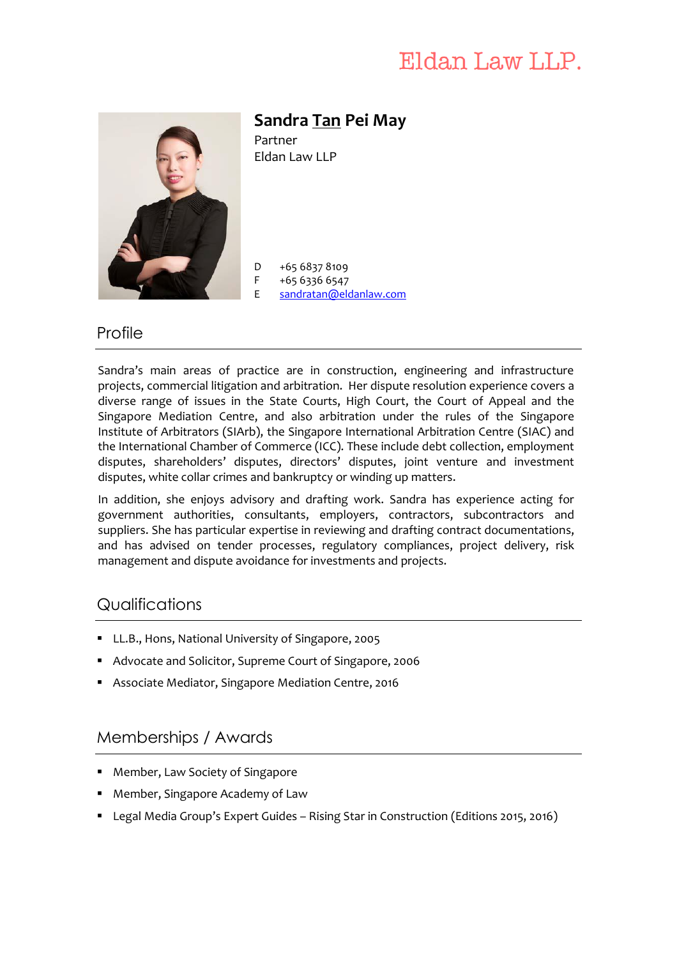# Eldan Law LLP.



**Sandra Tan Pei May** Partner Eldan Law LLP

D +65 6837 8109

- +65 6336 6547
- F [sandratan@eldanlaw.com](mailto:sandratan@eldanlaw.com)

## Profile

Sandra's main areas of practice are in construction, engineering and infrastructure projects, commercial litigation and arbitration. Her dispute resolution experience covers a diverse range of issues in the State Courts, High Court, the Court of Appeal and the Singapore Mediation Centre, and also arbitration under the rules of the Singapore Institute of Arbitrators (SIArb), the Singapore International Arbitration Centre (SIAC) and the International Chamber of Commerce (ICC). These include debt collection, employment disputes, shareholders' disputes, directors' disputes, joint venture and investment disputes, white collar crimes and bankruptcy or winding up matters.

In addition, she enjoys advisory and drafting work. Sandra has experience acting for government authorities, consultants, employers, contractors, subcontractors and suppliers. She has particular expertise in reviewing and drafting contract documentations, and has advised on tender processes, regulatory compliances, project delivery, risk management and dispute avoidance for investments and projects.

# Qualifications

- **LL.B., Hons, National University of Singapore, 2005**
- Advocate and Solicitor, Supreme Court of Singapore, 2006
- Associate Mediator, Singapore Mediation Centre, 2016

# Memberships / Awards

- **Member, Law Society of Singapore**
- Member, Singapore Academy of Law
- Legal Media Group's Expert Guides Rising Star in Construction (Editions 2015, 2016)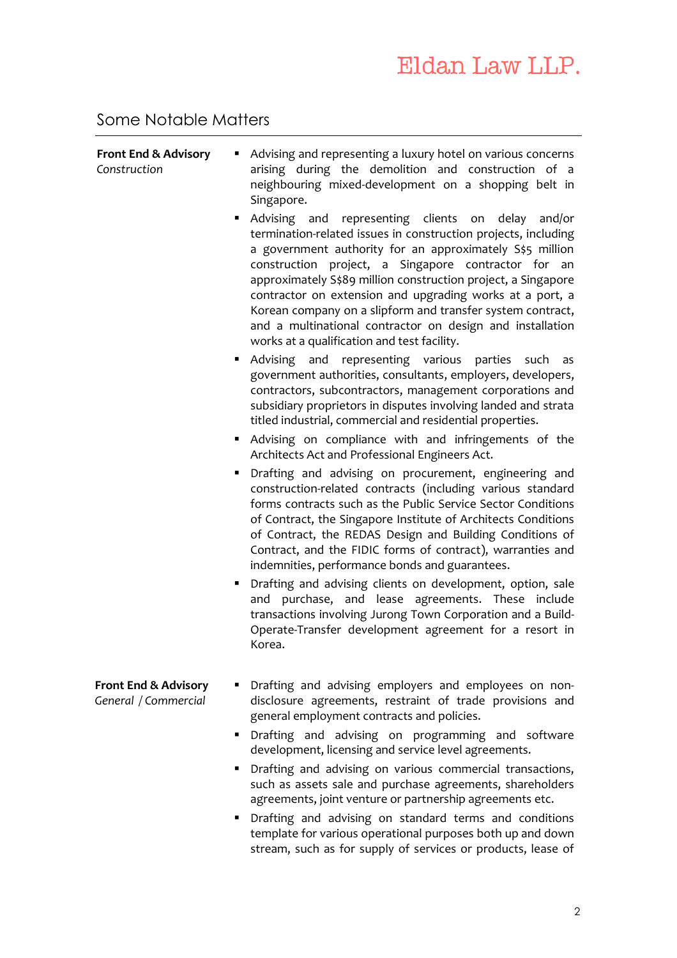# Some Notable Matters

| <b>Front End &amp; Advisory</b><br>Construction         | Advising and representing a luxury hotel on various concerns<br>arising during the demolition and construction of a<br>neighbouring mixed-development on a shopping belt in<br>Singapore.<br>Advising and representing clients on delay and/or<br>termination-related issues in construction projects, including<br>a government authority for an approximately S\$5 million<br>construction project, a Singapore contractor for an<br>approximately S\$89 million construction project, a Singapore<br>contractor on extension and upgrading works at a port, a<br>Korean company on a slipform and transfer system contract,<br>and a multinational contractor on design and installation<br>works at a qualification and test facility. |
|---------------------------------------------------------|--------------------------------------------------------------------------------------------------------------------------------------------------------------------------------------------------------------------------------------------------------------------------------------------------------------------------------------------------------------------------------------------------------------------------------------------------------------------------------------------------------------------------------------------------------------------------------------------------------------------------------------------------------------------------------------------------------------------------------------------|
|                                                         | Advising and representing various parties such<br>as<br>government authorities, consultants, employers, developers,<br>contractors, subcontractors, management corporations and<br>subsidiary proprietors in disputes involving landed and strata<br>titled industrial, commercial and residential properties.                                                                                                                                                                                                                                                                                                                                                                                                                             |
|                                                         | Advising on compliance with and infringements of the<br>Architects Act and Professional Engineers Act.                                                                                                                                                                                                                                                                                                                                                                                                                                                                                                                                                                                                                                     |
|                                                         | Drafting and advising on procurement, engineering and<br>construction-related contracts (including various standard<br>forms contracts such as the Public Service Sector Conditions<br>of Contract, the Singapore Institute of Architects Conditions<br>of Contract, the REDAS Design and Building Conditions of<br>Contract, and the FIDIC forms of contract), warranties and<br>indemnities, performance bonds and guarantees.                                                                                                                                                                                                                                                                                                           |
|                                                         | Drafting and advising clients on development, option, sale<br>п<br>and purchase, and lease agreements. These include<br>transactions involving Jurong Town Corporation and a Build-<br>Operate-Transfer development agreement for a resort in<br>Korea.                                                                                                                                                                                                                                                                                                                                                                                                                                                                                    |
| <b>Front End &amp; Advisory</b><br>General / Commercial | Drafting and advising employers and employees on non-<br>disclosure agreements, restraint of trade provisions and<br>general employment contracts and policies.                                                                                                                                                                                                                                                                                                                                                                                                                                                                                                                                                                            |
|                                                         | Drafting and advising on programming and software<br>development, licensing and service level agreements.                                                                                                                                                                                                                                                                                                                                                                                                                                                                                                                                                                                                                                  |
|                                                         | Drafting and advising on various commercial transactions,<br>٠<br>such as assets sale and purchase agreements, shareholders<br>agreements, joint venture or partnership agreements etc.                                                                                                                                                                                                                                                                                                                                                                                                                                                                                                                                                    |

 Drafting and advising on standard terms and conditions template for various operational purposes both up and down stream, such as for supply of services or products, lease of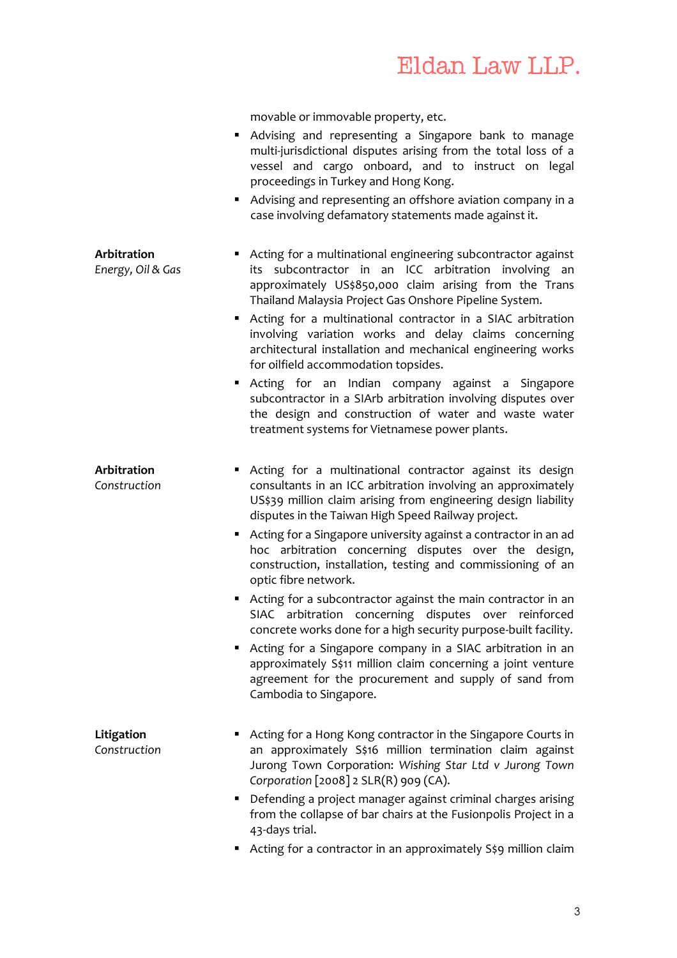movable or immovable property, etc.

- Advising and representing a Singapore bank to manage multi-jurisdictional disputes arising from the total loss of a vessel and cargo onboard, and to instruct on legal proceedings in Turkey and Hong Kong.
	- Advising and representing an offshore aviation company in a case involving defamatory statements made against it.

#### **Arbitration**

*Energy, Oil & Gas*

- Acting for a multinational engineering subcontractor against its subcontractor in an ICC arbitration involving an approximately US\$850,000 claim arising from the Trans Thailand Malaysia Project Gas Onshore Pipeline System.
- Acting for a multinational contractor in a SIAC arbitration involving variation works and delay claims concerning architectural installation and mechanical engineering works for oilfield accommodation topsides.
- Acting for an Indian company against a Singapore subcontractor in a SIArb arbitration involving disputes over the design and construction of water and waste water treatment systems for Vietnamese power plants.

#### **Arbitration**

*Construction*

- Acting for a multinational contractor against its design consultants in an ICC arbitration involving an approximately US\$39 million claim arising from engineering design liability disputes in the Taiwan High Speed Railway project.
- Acting for a Singapore university against a contractor in an ad hoc arbitration concerning disputes over the design, construction, installation, testing and commissioning of an optic fibre network.
- Acting for a subcontractor against the main contractor in an SIAC arbitration concerning disputes over reinforced concrete works done for a high security purpose-built facility.
- Acting for a Singapore company in a SIAC arbitration in an approximately S\$11 million claim concerning a joint venture agreement for the procurement and supply of sand from Cambodia to Singapore.

#### **Litigation** *Construction*

- Acting for a Hong Kong contractor in the Singapore Courts in an approximately S\$16 million termination claim against Jurong Town Corporation: *Wishing Star Ltd v Jurong Town Corporation* [2008] 2 SLR(R) 909 (CA).
- Defending a project manager against criminal charges arising from the collapse of bar chairs at the Fusionpolis Project in a 43-days trial.
- Acting for a contractor in an approximately S\$9 million claim